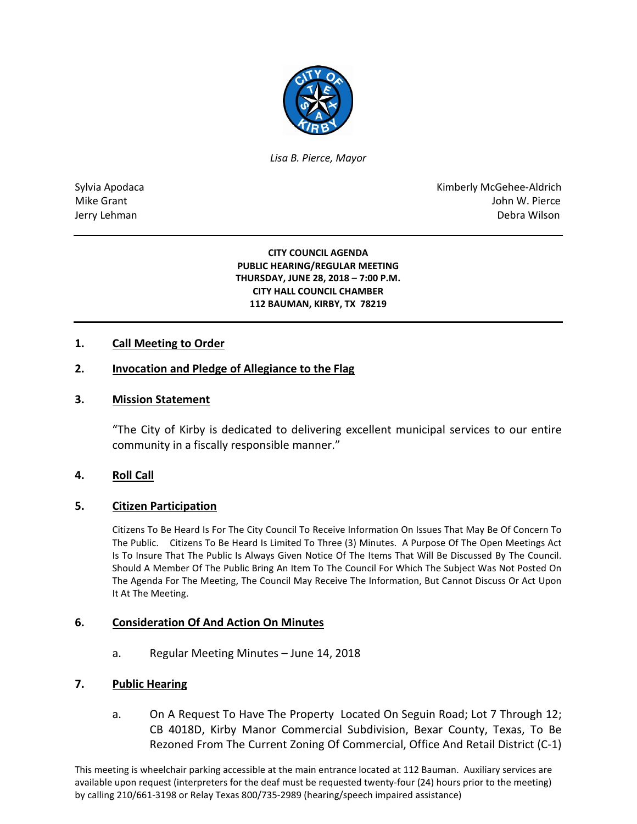

*Lisa B. Pierce, Mayor* 

Sylvia Apodaca National Apodaca Kimberly McGehee-Aldrich Mike Grant John W. Pierce Jerry Lehman Debra Wilson (2008) and the state of the state of the state of the state of the state of the state of the state of the state of the state of the state of the state of the state of the state of the state of the

> **CITY COUNCIL AGENDA PUBLIC HEARING/REGULAR MEETING THURSDAY, JUNE 28, 2018 – 7:00 P.M. CITY HALL COUNCIL CHAMBER 112 BAUMAN, KIRBY, TX 78219**

## **1. Call Meeting to Order**

## **2. Invocation and Pledge of Allegiance to the Flag**

#### **3. Mission Statement**

"The City of Kirby is dedicated to delivering excellent municipal services to our entire community in a fiscally responsible manner."

#### **4. Roll Call**

#### **5. Citizen Participation**

Citizens To Be Heard Is For The City Council To Receive Information On Issues That May Be Of Concern To The Public. Citizens To Be Heard Is Limited To Three (3) Minutes. A Purpose Of The Open Meetings Act Is To Insure That The Public Is Always Given Notice Of The Items That Will Be Discussed By The Council. Should A Member Of The Public Bring An Item To The Council For Which The Subject Was Not Posted On The Agenda For The Meeting, The Council May Receive The Information, But Cannot Discuss Or Act Upon It At The Meeting.

#### **6. Consideration Of And Action On Minutes**

a. Regular Meeting Minutes – June 14, 2018

#### **7. Public Hearing**

a. On A Request To Have The Property Located On Seguin Road; Lot 7 Through 12; CB 4018D, Kirby Manor Commercial Subdivision, Bexar County, Texas, To Be Rezoned From The Current Zoning Of Commercial, Office And Retail District (C-1)

This meeting is wheelchair parking accessible at the main entrance located at 112 Bauman. Auxiliary services are available upon request (interpreters for the deaf must be requested twenty-four (24) hours prior to the meeting) by calling 210/661-3198 or Relay Texas 800/735-2989 (hearing/speech impaired assistance)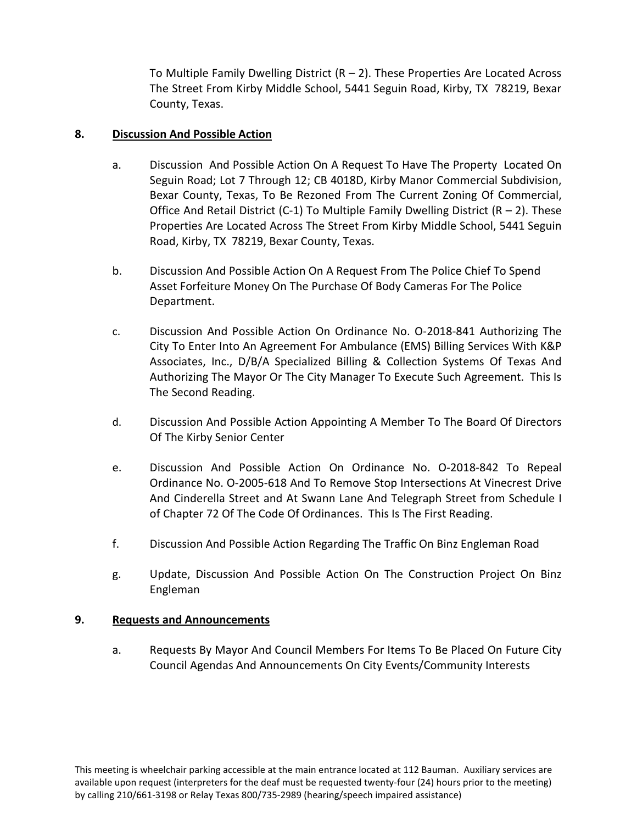To Multiple Family Dwelling District  $(R - 2)$ . These Properties Are Located Across The Street From Kirby Middle School, 5441 Seguin Road, Kirby, TX 78219, Bexar County, Texas.

# **8. Discussion And Possible Action**

- a. Discussion And Possible Action On A Request To Have The Property Located On Seguin Road; Lot 7 Through 12; CB 4018D, Kirby Manor Commercial Subdivision, Bexar County, Texas, To Be Rezoned From The Current Zoning Of Commercial, Office And Retail District (C-1) To Multiple Family Dwelling District ( $R - 2$ ). These Properties Are Located Across The Street From Kirby Middle School, 5441 Seguin Road, Kirby, TX 78219, Bexar County, Texas.
- b. Discussion And Possible Action On A Request From The Police Chief To Spend Asset Forfeiture Money On The Purchase Of Body Cameras For The Police Department.
- c. Discussion And Possible Action On Ordinance No. O-2018-841 Authorizing The City To Enter Into An Agreement For Ambulance (EMS) Billing Services With K&P Associates, Inc., D/B/A Specialized Billing & Collection Systems Of Texas And Authorizing The Mayor Or The City Manager To Execute Such Agreement. This Is The Second Reading.
- d. Discussion And Possible Action Appointing A Member To The Board Of Directors Of The Kirby Senior Center
- e. Discussion And Possible Action On Ordinance No. O-2018-842 To Repeal Ordinance No. O-2005-618 And To Remove Stop Intersections At Vinecrest Drive And Cinderella Street and At Swann Lane And Telegraph Street from Schedule I of Chapter 72 Of The Code Of Ordinances. This Is The First Reading.
- f. Discussion And Possible Action Regarding The Traffic On Binz Engleman Road
- g. Update, Discussion And Possible Action On The Construction Project On Binz Engleman

#### **9. Requests and Announcements**

a. Requests By Mayor And Council Members For Items To Be Placed On Future City Council Agendas And Announcements On City Events/Community Interests